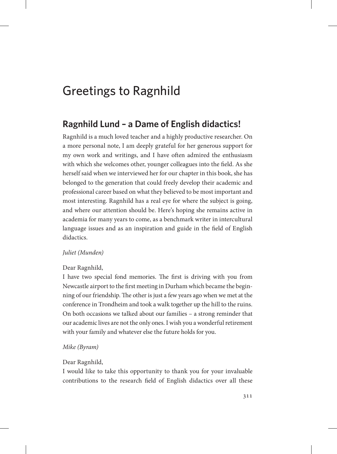# Greetings to Ragnhild

# **Ragnhild Lund – a Dame of English didactics!**

Ragnhild is a much loved teacher and a highly productive researcher. On a more personal note, I am deeply grateful for her generous support for my own work and writings, and I have often admired the enthusiasm with which she welcomes other, younger colleagues into the field. As she herself said when we interviewed her for our chapter in this book, she has belonged to the generation that could freely develop their academic and professional career based on what they believed to be most important and most interesting. Ragnhild has a real eye for where the subject is going, and where our attention should be. Here's hoping she remains active in academia for many years to come, as a benchmark writer in intercultural language issues and as an inspiration and guide in the field of English didactics.

# *Juliet (Munden)*

# Dear Ragnhild,

I have two special fond memories. The first is driving with you from Newcastle airport to the first meeting in Durham which became the beginning of our friendship. The other is just a few years ago when we met at the conference in Trondheim and took a walk together up the hill to the ruins. On both occasions we talked about our families – a strong reminder that our academic lives are not the only ones. I wish you a wonderful retirement with your family and whatever else the future holds for you.

# *Mike (Byram)*

# Dear Ragnhild,

I would like to take this opportunity to thank you for your invaluable contributions to the research field of English didactics over all these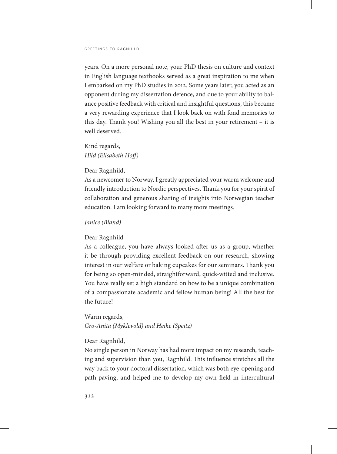years. On a more personal note, your PhD thesis on culture and context in English language textbooks served as a great inspiration to me when I embarked on my PhD studies in 2012. Some years later, you acted as an opponent during my dissertation defence, and due to your ability to balance positive feedback with critical and insightful questions, this became a very rewarding experience that I look back on with fond memories to this day. Thank you! Wishing you all the best in your retirement – it is well deserved.

Kind regards, *Hild (Elisabeth Hoff)*

Dear Ragnhild,

As a newcomer to Norway, I greatly appreciated your warm welcome and friendly introduction to Nordic perspectives. Thank you for your spirit of collaboration and generous sharing of insights into Norwegian teacher education. I am looking forward to many more meetings.

#### *Janice (Bland)*

#### Dear Ragnhild

As a colleague, you have always looked after us as a group, whether it be through providing excellent feedback on our research, showing interest in our welfare or baking cupcakes for our seminars. Thank you for being so open-minded, straightforward, quick-witted and inclusive. You have really set a high standard on how to be a unique combination of a compassionate academic and fellow human being! All the best for the future!

Warm regards, *Gro-Anita (Myklevold) and Heike (Speitz)*

#### Dear Ragnhild,

No single person in Norway has had more impact on my research, teaching and supervision than you, Ragnhild. This influence stretches all the way back to your doctoral dissertation, which was both eye-opening and path-paving, and helped me to develop my own field in intercultural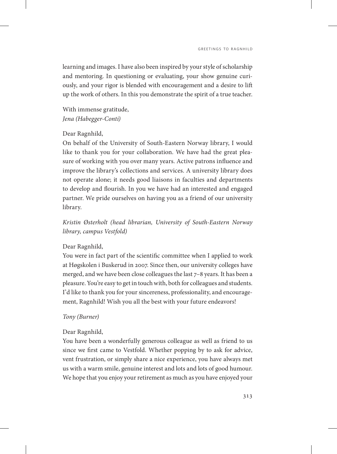learning and images. I have also been inspired by your style of scholarship and mentoring. In questioning or evaluating, your show genuine curiously, and your rigor is blended with encouragement and a desire to lift up the work of others. In this you demonstrate the spirit of a true teacher.

With immense gratitude, *Jena (Habegger-Conti)*

# Dear Ragnhild,

On behalf of the University of South-Eastern Norway library, I would like to thank you for your collaboration. We have had the great pleasure of working with you over many years. Active patrons influence and improve the library's collections and services. A university library does not operate alone; it needs good liaisons in faculties and departments to develop and flourish. In you we have had an interested and engaged partner. We pride ourselves on having you as a friend of our university library.

*Kristin Østerholt (head librarian, University of South-Eastern Norway library, campus Vestfold)*

#### Dear Ragnhild,

You were in fact part of the scientific committee when I applied to work at Høgskolen i Buskerud in 2007. Since then, our university colleges have merged, and we have been close colleagues the last 7–8 years. It has been a pleasure. You're easy to get in touch with, both for colleagues and students. I'd like to thank you for your sincereness, professionality, and encouragement, Ragnhild! Wish you all the best with your future endeavors!

#### *Tony (Burner)*

#### Dear Ragnhild,

You have been a wonderfully generous colleague as well as friend to us since we first came to Vestfold. Whether popping by to ask for advice, vent frustration, or simply share a nice experience, you have always met us with a warm smile, genuine interest and lots and lots of good humour. We hope that you enjoy your retirement as much as you have enjoyed your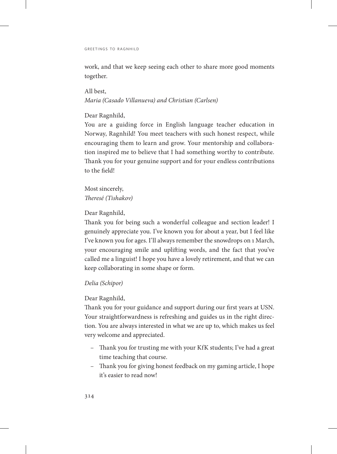work, and that we keep seeing each other to share more good moments together.

All best, *Maria (Casado Villanueva) and Christian (Carlsen)*

#### Dear Ragnhild,

You are a guiding force in English language teacher education in Norway, Ragnhild! You meet teachers with such honest respect, while encouraging them to learn and grow. Your mentorship and collaboration inspired me to believe that I had something worthy to contribute. Thank you for your genuine support and for your endless contributions to the field!

Most sincerely, *Theresé (Tishakov)*

Dear Ragnhild,

Thank you for being such a wonderful colleague and section leader! I genuinely appreciate you. I've known you for about a year, but I feel like I've known you for ages. I'll always remember the snowdrops on 1 March, your encouraging smile and uplifting words, and the fact that you've called me a linguist! I hope you have a lovely retirement, and that we can keep collaborating in some shape or form.

# *Delia (Schipor)*

# Dear Ragnhild,

Thank you for your guidance and support during our first years at USN. Your straightforwardness is refreshing and guides us in the right direction. You are always interested in what we are up to, which makes us feel very welcome and appreciated.

- Thank you for trusting me with your KfK students; I've had a great time teaching that course.
- Thank you for giving honest feedback on my gaming article, I hope it's easier to read now!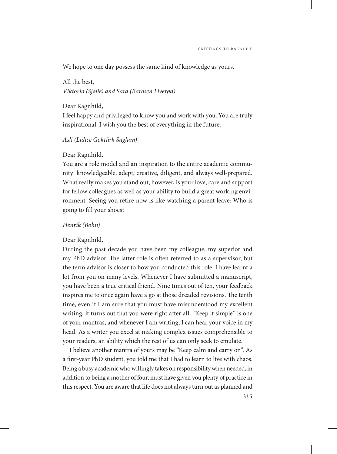We hope to one day possess the same kind of knowledge as yours.

All the best, *Viktoria (Sjølie) and Sara (Barosen Liverød)*

Dear Ragnhild,

I feel happy and privileged to know you and work with you. You are truly inspirational. I wish you the best of everything in the future.

#### *Asli (Lidice Göktürk Saglam)*

#### Dear Ragnhild,

You are a role model and an inspiration to the entire academic community: knowledgeable, adept, creative, diligent, and always well-prepared. What really makes you stand out, however, is your love, care and support for fellow colleagues as well as your ability to build a great working environment. Seeing you retire now is like watching a parent leave: Who is going to fill your shoes?

#### *Henrik (Bøhn)*

#### Dear Ragnhild,

During the past decade you have been my colleague, my superior and my PhD advisor. The latter role is often referred to as a supervisor, but the term advisor is closer to how you conducted this role. I have learnt a lot from you on many levels. Whenever I have submitted a manuscript, you have been a true critical friend. Nine times out of ten, your feedback inspires me to once again have a go at those dreaded revisions. The tenth time, even if I am sure that you must have misunderstood my excellent writing, it turns out that you were right after all. "Keep it simple" is one of your mantras, and whenever I am writing, I can hear your voice in my head. As a writer you excel at making complex issues comprehensible to your readers, an ability which the rest of us can only seek to emulate.

I believe another mantra of yours may be "Keep calm and carry on". As a first-year PhD student, you told me that I had to learn to live with chaos. Being a busy academic who willingly takes on responsibility when needed, in addition to being a mother of four, must have given you plenty of practice in this respect. You are aware that life does not always turn out as planned and